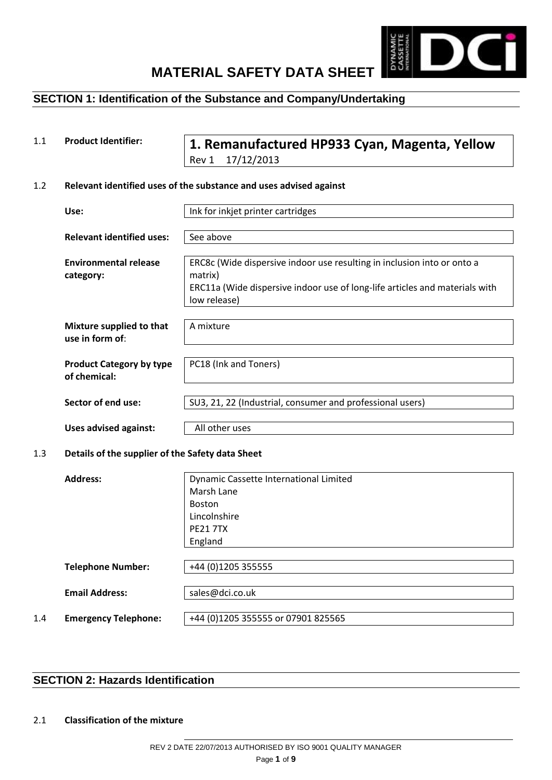

## **SECTION 1: Identification of the Substance and Company/Undertaking**

1.1 **Product Identifier: 1. Remanufactured HP933 Cyan, Magenta, Yellow** Rev 1 17/12/2013

#### 1.2 **Relevant identified uses of the substance and uses advised against**

| Use:                             | Ink for inkjet printer cartridges                                           |
|----------------------------------|-----------------------------------------------------------------------------|
|                                  |                                                                             |
| <b>Relevant identified uses:</b> | See above                                                                   |
|                                  |                                                                             |
| <b>Environmental release</b>     | ERC8c (Wide dispersive indoor use resulting in inclusion into or onto a     |
| category:                        | matrix)                                                                     |
|                                  | ERC11a (Wide dispersive indoor use of long-life articles and materials with |
|                                  | low release)                                                                |
|                                  |                                                                             |
| Mixture supplied to that         | A mixture                                                                   |
| use in form of:                  |                                                                             |
|                                  |                                                                             |
| <b>Product Category by type</b>  | PC18 (Ink and Toners)                                                       |
| of chemical:                     |                                                                             |
|                                  |                                                                             |
| Sector of end use:               | SU3, 21, 22 (Industrial, consumer and professional users)                   |
|                                  |                                                                             |
| <b>Uses advised against:</b>     | All other uses                                                              |

#### 1.3 **Details of the supplier of the Safety data Sheet**

|     | Address:                    | Dynamic Cassette International Limited |
|-----|-----------------------------|----------------------------------------|
|     |                             | Marsh Lane                             |
|     |                             | <b>Boston</b>                          |
|     |                             | Lincolnshire                           |
|     |                             | <b>PF21 7TX</b>                        |
|     |                             | England                                |
|     |                             |                                        |
|     | <b>Telephone Number:</b>    | +44 (0)1205 355555                     |
|     |                             |                                        |
|     | <b>Email Address:</b>       | sales@dci.co.uk                        |
|     |                             |                                        |
| 1.4 | <b>Emergency Telephone:</b> | +44 (0)1205 355555 or 07901 825565     |
|     |                             |                                        |

## **SECTION 2: Hazards Identification**

#### 2.1 **Classification of the mixture**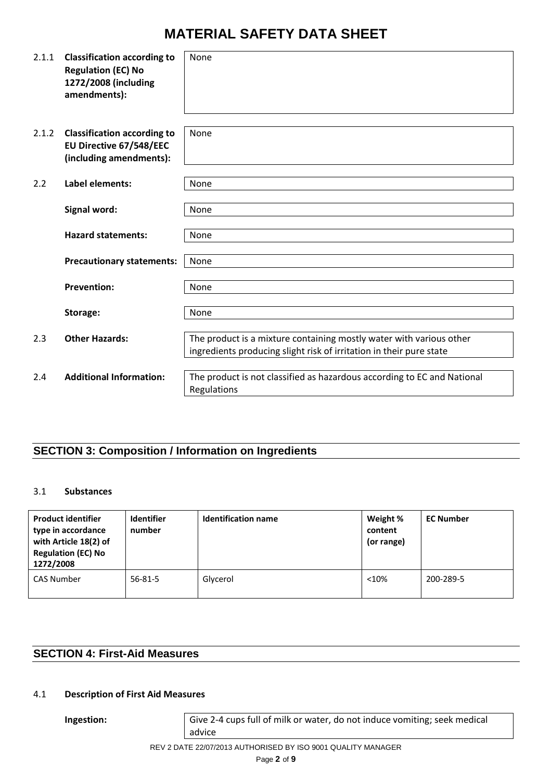| 2.1.1 | <b>Classification according to</b><br><b>Regulation (EC) No</b><br>1272/2008 (including<br>amendments): | None                                                                                                                                       |
|-------|---------------------------------------------------------------------------------------------------------|--------------------------------------------------------------------------------------------------------------------------------------------|
| 2.1.2 | <b>Classification according to</b><br>EU Directive 67/548/EEC<br>(including amendments):                | None                                                                                                                                       |
| 2.2   | <b>Label elements:</b>                                                                                  | None                                                                                                                                       |
|       | Signal word:                                                                                            | None                                                                                                                                       |
|       | <b>Hazard statements:</b>                                                                               | None                                                                                                                                       |
|       | <b>Precautionary statements:</b>                                                                        | None                                                                                                                                       |
|       | <b>Prevention:</b>                                                                                      | None                                                                                                                                       |
|       | Storage:                                                                                                | None                                                                                                                                       |
| 2.3   | <b>Other Hazards:</b>                                                                                   | The product is a mixture containing mostly water with various other<br>ingredients producing slight risk of irritation in their pure state |
| 2.4   | <b>Additional Information:</b>                                                                          | The product is not classified as hazardous according to EC and National<br>Regulations                                                     |

# **SECTION 3: Composition / Information on Ingredients**

#### 3.1 **Substances**

| <b>Product identifier</b><br>type in accordance<br>with Article 18(2) of<br><b>Regulation (EC) No</b><br>1272/2008 | <b>Identifier</b><br>number | <b>Identification name</b> | Weight %<br>content<br>(or range) | <b>EC Number</b> |
|--------------------------------------------------------------------------------------------------------------------|-----------------------------|----------------------------|-----------------------------------|------------------|
| <b>CAS Number</b>                                                                                                  | $56 - 81 - 5$               | Glycerol                   | < 10%                             | 200-289-5        |

## **SECTION 4: First-Aid Measures**

#### 4.1 **Description of First Aid Measures**

**Ingestion:** Give 2-4 cups full of milk or water, do not induce vomiting; seek medical advice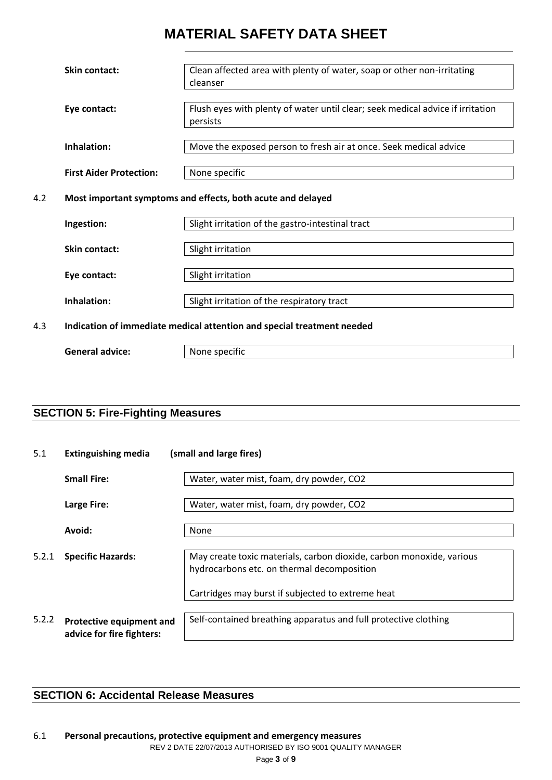|                                                                    | <b>Skin contact:</b>           | Clean affected area with plenty of water, soap or other non-irritating         |  |
|--------------------------------------------------------------------|--------------------------------|--------------------------------------------------------------------------------|--|
|                                                                    |                                | cleanser                                                                       |  |
|                                                                    |                                |                                                                                |  |
|                                                                    | Eye contact:                   | Flush eyes with plenty of water until clear; seek medical advice if irritation |  |
|                                                                    |                                | persists                                                                       |  |
|                                                                    |                                |                                                                                |  |
|                                                                    | Inhalation:                    | Move the exposed person to fresh air at once. Seek medical advice              |  |
|                                                                    |                                |                                                                                |  |
|                                                                    | <b>First Aider Protection:</b> | None specific                                                                  |  |
|                                                                    |                                |                                                                                |  |
|                                                                    |                                |                                                                                |  |
| 4.2<br>Most important symptoms and effects, both acute and delayed |                                |                                                                                |  |
|                                                                    |                                |                                                                                |  |
|                                                                    | Ingestion:                     | Slight irritation of the gastro-intestinal tract                               |  |
|                                                                    |                                |                                                                                |  |
|                                                                    | <b>Skin contact:</b>           | Slight irritation                                                              |  |
|                                                                    |                                |                                                                                |  |
|                                                                    | Eye contact:                   | Slight irritation                                                              |  |
|                                                                    |                                |                                                                                |  |
|                                                                    | Inhalation:                    | Slight irritation of the respiratory tract                                     |  |
|                                                                    |                                |                                                                                |  |
| 4.3                                                                |                                | Indication of immediate medical attention and special treatment needed         |  |
|                                                                    |                                |                                                                                |  |

```
General advice: None specific
```
## **SECTION 5: Fire-Fighting Measures**

| 5.1   | <b>Extinguishing media</b>                            | (small and large fires)                                                                                            |  |
|-------|-------------------------------------------------------|--------------------------------------------------------------------------------------------------------------------|--|
|       | <b>Small Fire:</b>                                    | Water, water mist, foam, dry powder, CO2                                                                           |  |
|       | Large Fire:                                           | Water, water mist, foam, dry powder, CO2                                                                           |  |
|       | Avoid:                                                | None                                                                                                               |  |
| 5.2.1 | <b>Specific Hazards:</b>                              | May create toxic materials, carbon dioxide, carbon monoxide, various<br>hydrocarbons etc. on thermal decomposition |  |
|       |                                                       | Cartridges may burst if subjected to extreme heat                                                                  |  |
| 5.2.2 | Protective equipment and<br>advice for fire fighters: | Self-contained breathing apparatus and full protective clothing                                                    |  |

## **SECTION 6: Accidental Release Measures**

REV 2 DATE 22/07/2013 AUTHORISED BY ISO 9001 QUALITY MANAGER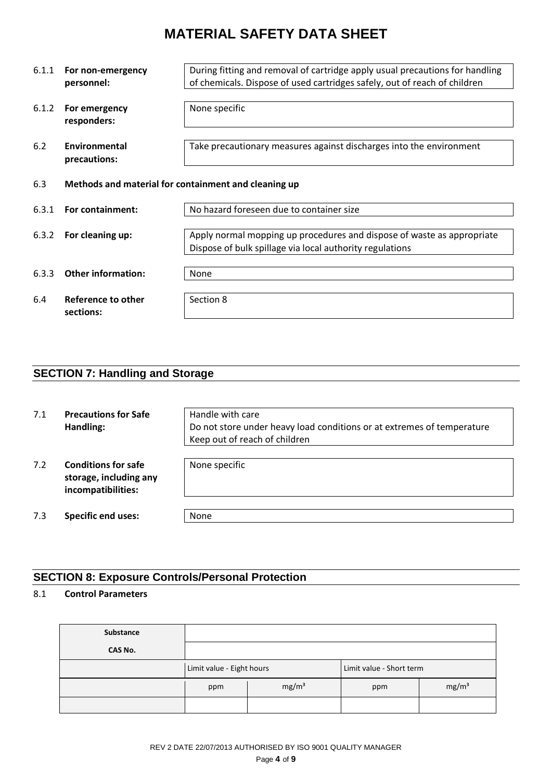| 6.1.1<br>6.1.2 | During fitting and removal of cartridge apply usual precautions for handling<br>For non-emergency<br>of chemicals. Dispose of used cartridges safely, out of reach of children<br>personnel:<br>None specific<br>For emergency<br>responders: |                                                                                                                                    |  |
|----------------|-----------------------------------------------------------------------------------------------------------------------------------------------------------------------------------------------------------------------------------------------|------------------------------------------------------------------------------------------------------------------------------------|--|
| 6.2            | Environmental<br>precautions:                                                                                                                                                                                                                 | Take precautionary measures against discharges into the environment                                                                |  |
| 6.3            | Methods and material for containment and cleaning up                                                                                                                                                                                          |                                                                                                                                    |  |
| 6.3.1          | No hazard foreseen due to container size<br>For containment:                                                                                                                                                                                  |                                                                                                                                    |  |
| 6.3.2          | For cleaning up:                                                                                                                                                                                                                              | Apply normal mopping up procedures and dispose of waste as appropriate<br>Dispose of bulk spillage via local authority regulations |  |
| 6.3.3          | <b>Other information:</b>                                                                                                                                                                                                                     | None                                                                                                                               |  |
| 6.4            | Reference to other<br>sections:                                                                                                                                                                                                               | Section 8                                                                                                                          |  |

# **SECTION 7: Handling and Storage**

| 7.1 | <b>Precautions for Safe</b><br>Handling:                                   | Handle with care<br>Do not store under heavy load conditions or at extremes of temperature<br>Keep out of reach of children |
|-----|----------------------------------------------------------------------------|-----------------------------------------------------------------------------------------------------------------------------|
| 7.2 | <b>Conditions for safe</b><br>storage, including any<br>incompatibilities: | None specific                                                                                                               |
| 7.3 | <b>Specific end uses:</b>                                                  | <b>None</b>                                                                                                                 |

## **SECTION 8: Exposure Controls/Personal Protection**

## 8.1 **Control Parameters**

| Substance |                           |                   |                          |                   |
|-----------|---------------------------|-------------------|--------------------------|-------------------|
| CAS No.   |                           |                   |                          |                   |
|           | Limit value - Eight hours |                   | Limit value - Short term |                   |
|           | ppm                       | mg/m <sup>3</sup> | ppm                      | mg/m <sup>3</sup> |
|           |                           |                   |                          |                   |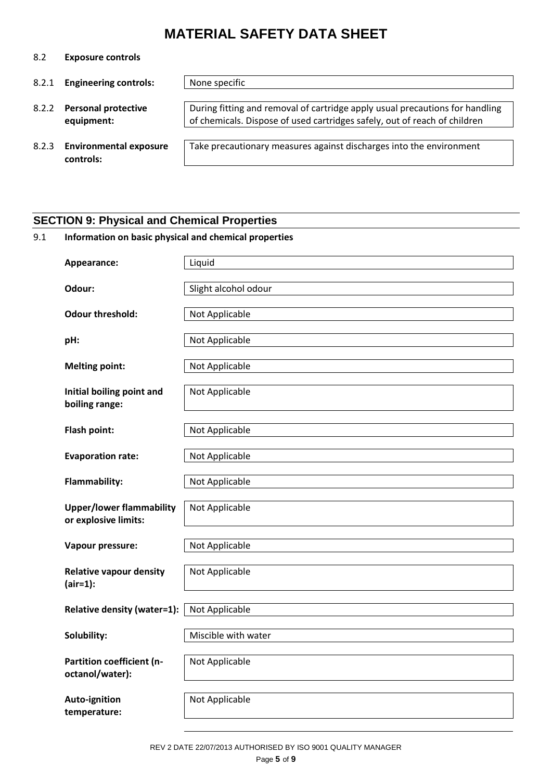8.2 **Exposure controls**

| 8.2.1 | <b>Engineering controls:</b>              | None specific                                                                                                                                             |
|-------|-------------------------------------------|-----------------------------------------------------------------------------------------------------------------------------------------------------------|
| 8.2.2 | <b>Personal protective</b><br>equipment:  | During fitting and removal of cartridge apply usual precautions for handling<br>of chemicals. Dispose of used cartridges safely, out of reach of children |
|       | 8.2.3 Environmental exposure<br>controls: | Take precautionary measures against discharges into the environment                                                                                       |

## **SECTION 9: Physical and Chemical Properties**

# 9.1 **Information on basic physical and chemical properties Appearance:** Liquid **Odour:** Slight alcohol odour **Odour threshold:** Not Applicable **pH:**  $\vert$  Not Applicable **Melting point:** Not Applicable **Initial boiling point and boiling range:** Not Applicable **Flash point:** Not Applicable **Evaporation rate:** Not Applicable **Flammability:** Not Applicable **Upper/lower flammability or explosive limits:** Not Applicable **Vapour pressure:** Not Applicable **Relative vapour density (air=1):** Not Applicable **Relative density (water=1):** Not Applicable **Solubility:** Miscible with water **Partition coefficient (noctanol/water):** Not Applicable **Auto-ignition temperature:** Not Applicable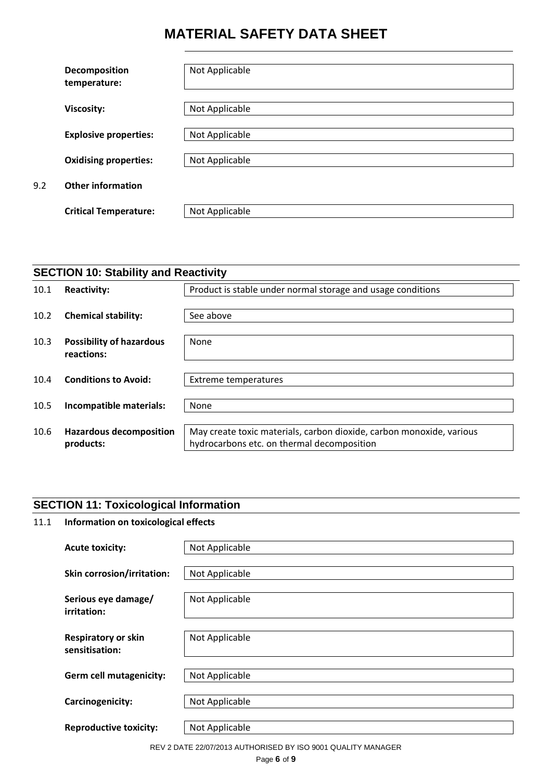|     | Decomposition<br>temperature: | Not Applicable |
|-----|-------------------------------|----------------|
|     | <b>Viscosity:</b>             | Not Applicable |
|     | <b>Explosive properties:</b>  | Not Applicable |
|     | <b>Oxidising properties:</b>  | Not Applicable |
| 9.2 | <b>Other information</b>      |                |
|     | <b>Critical Temperature:</b>  | Not Applicable |

|      | <b>SECTION 10: Stability and Reactivity</b>   |                                                                                                                    |  |  |
|------|-----------------------------------------------|--------------------------------------------------------------------------------------------------------------------|--|--|
| 10.1 | <b>Reactivity:</b>                            | Product is stable under normal storage and usage conditions                                                        |  |  |
| 10.2 | <b>Chemical stability:</b>                    | See above                                                                                                          |  |  |
| 10.3 | <b>Possibility of hazardous</b><br>reactions: | None                                                                                                               |  |  |
| 10.4 | <b>Conditions to Avoid:</b>                   | <b>Extreme temperatures</b>                                                                                        |  |  |
| 10.5 | Incompatible materials:                       | None                                                                                                               |  |  |
| 10.6 | <b>Hazardous decomposition</b><br>products:   | May create toxic materials, carbon dioxide, carbon monoxide, various<br>hydrocarbons etc. on thermal decomposition |  |  |

## **SECTION 11: Toxicological Information**

## 11.1 **Information on toxicological effects**

| <b>Acute toxicity:</b>                       | Not Applicable |
|----------------------------------------------|----------------|
| <b>Skin corrosion/irritation:</b>            | Not Applicable |
| Serious eye damage/<br>irritation:           | Not Applicable |
| <b>Respiratory or skin</b><br>sensitisation: | Not Applicable |
| <b>Germ cell mutagenicity:</b>               | Not Applicable |
| Carcinogenicity:                             | Not Applicable |
| <b>Reproductive toxicity:</b>                | Not Applicable |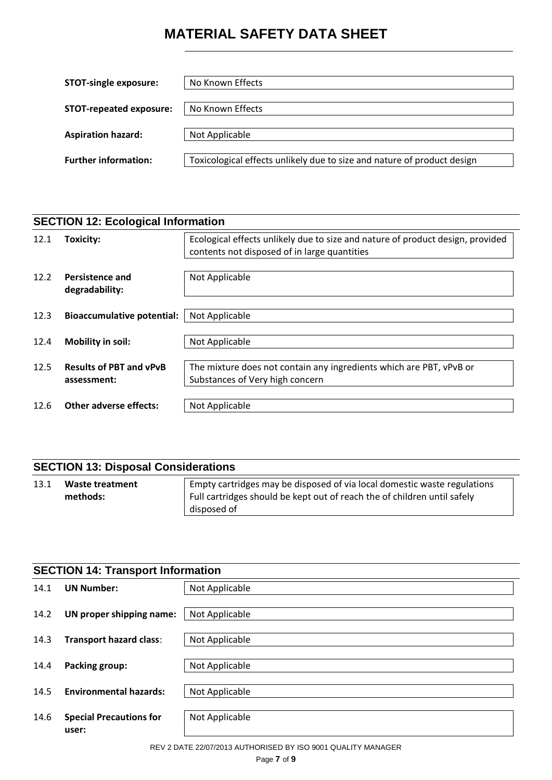| <b>STOT-single exposure:</b>   | No Known Effects                                                        |
|--------------------------------|-------------------------------------------------------------------------|
| <b>STOT-repeated exposure:</b> | No Known Effects                                                        |
| <b>Aspiration hazard:</b>      | Not Applicable                                                          |
| <b>Further information:</b>    | Toxicological effects unlikely due to size and nature of product design |

| <b>SECTION 12: Ecological Information</b> |                                               |                                                                                                                                |
|-------------------------------------------|-----------------------------------------------|--------------------------------------------------------------------------------------------------------------------------------|
| 12.1                                      | Toxicity:                                     | Ecological effects unlikely due to size and nature of product design, provided<br>contents not disposed of in large quantities |
| 12.2                                      | Persistence and<br>degradability:             | Not Applicable                                                                                                                 |
| 12.3                                      | <b>Bioaccumulative potential:</b>             | Not Applicable                                                                                                                 |
| 12.4                                      | Mobility in soil:                             | Not Applicable                                                                                                                 |
| 12.5                                      | <b>Results of PBT and vPvB</b><br>assessment: | The mixture does not contain any ingredients which are PBT, vPvB or<br>Substances of Very high concern                         |
| 12.6                                      | Other adverse effects:                        | Not Applicable                                                                                                                 |

| <b>SECTION 13: Disposal Considerations</b> |                             |                                                                                                                                                                     |
|--------------------------------------------|-----------------------------|---------------------------------------------------------------------------------------------------------------------------------------------------------------------|
| 13.1                                       | Waste treatment<br>methods: | Empty cartridges may be disposed of via local domestic waste regulations<br>Full cartridges should be kept out of reach the of children until safely<br>disposed of |

| <b>SECTION 14: Transport Information</b> |                                         |                |
|------------------------------------------|-----------------------------------------|----------------|
| 14.1                                     | <b>UN Number:</b>                       | Not Applicable |
| 14.2                                     | UN proper shipping name:                | Not Applicable |
| 14.3                                     | <b>Transport hazard class:</b>          | Not Applicable |
| 14.4                                     | Packing group:                          | Not Applicable |
| 14.5                                     | <b>Environmental hazards:</b>           | Not Applicable |
| 14.6                                     | <b>Special Precautions for</b><br>user: | Not Applicable |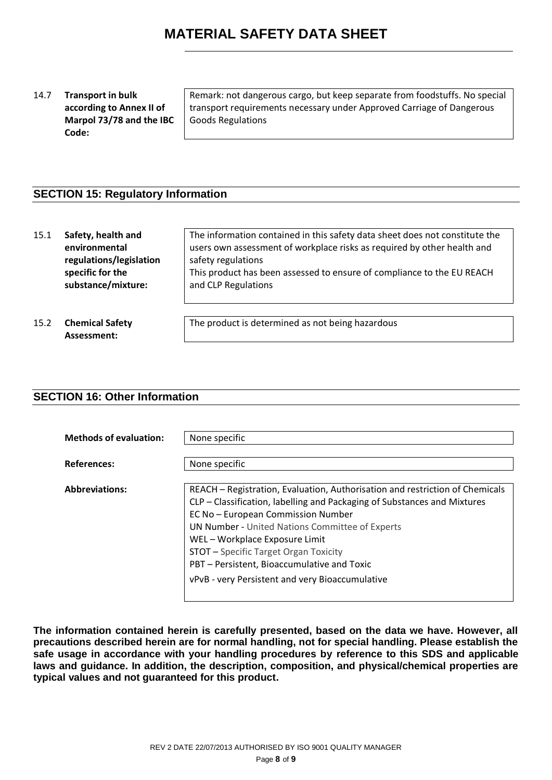#### 14.7 **Transport in bulk according to Annex II of Marpol 73/78 and the IBC Code:**

Remark: not dangerous cargo, but keep separate from foodstuffs. No special transport requirements necessary under Approved Carriage of Dangerous Goods Regulations

## **SECTION 15: Regulatory Information**

| 15.1 | Safety, health and<br>environmental<br>regulations/legislation<br>specific for the<br>substance/mixture: | The information contained in this safety data sheet does not constitute the<br>users own assessment of workplace risks as required by other health and<br>safety regulations<br>This product has been assessed to ensure of compliance to the EU REACH<br>and CLP Regulations |
|------|----------------------------------------------------------------------------------------------------------|-------------------------------------------------------------------------------------------------------------------------------------------------------------------------------------------------------------------------------------------------------------------------------|
| 15.2 | <b>Chemical Safety</b><br>Assessment:                                                                    | The product is determined as not being hazardous                                                                                                                                                                                                                              |

#### **SECTION 16: Other Information**

| <b>Methods of evaluation:</b> | None specific                                                                                                                                                                                                                                                                                                                                                                                                                       |
|-------------------------------|-------------------------------------------------------------------------------------------------------------------------------------------------------------------------------------------------------------------------------------------------------------------------------------------------------------------------------------------------------------------------------------------------------------------------------------|
| <b>References:</b>            | None specific                                                                                                                                                                                                                                                                                                                                                                                                                       |
| <b>Abbreviations:</b>         | REACH – Registration, Evaluation, Authorisation and restriction of Chemicals<br>CLP - Classification, labelling and Packaging of Substances and Mixtures<br>EC No - European Commission Number<br><b>UN Number - United Nations Committee of Experts</b><br>WEL-Workplace Exposure Limit<br>STOT - Specific Target Organ Toxicity<br>PBT - Persistent, Bioaccumulative and Toxic<br>vPvB - very Persistent and very Bioaccumulative |

**The information contained herein is carefully presented, based on the data we have. However, all precautions described herein are for normal handling, not for special handling. Please establish the safe usage in accordance with your handling procedures by reference to this SDS and applicable laws and guidance. In addition, the description, composition, and physical/chemical properties are typical values and not guaranteed for this product.**